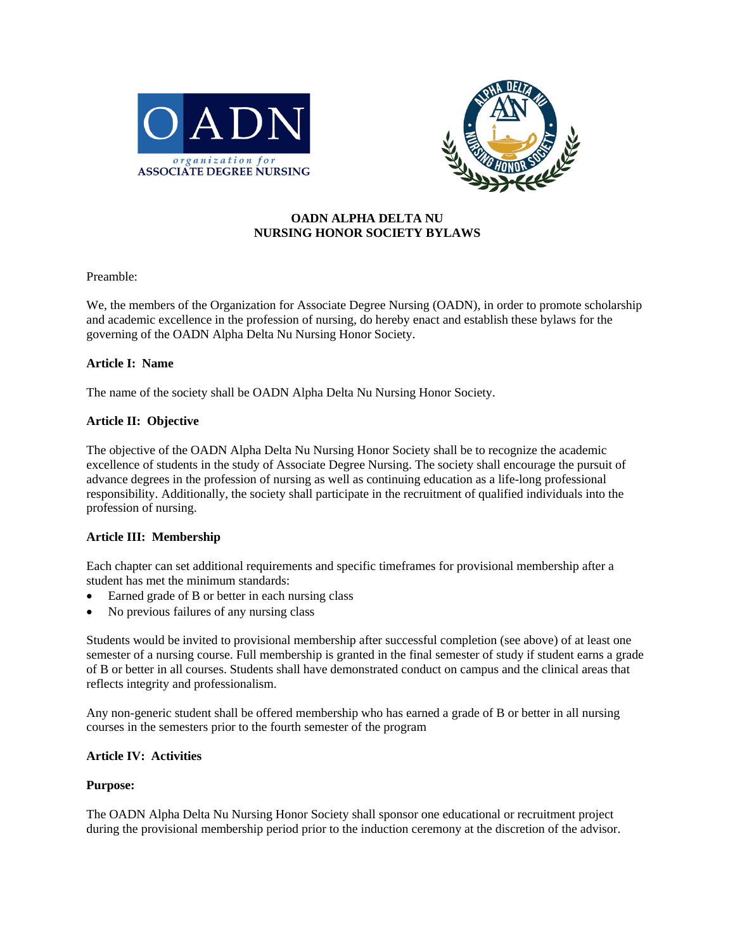



## **OADN ALPHA DELTA NU NURSING HONOR SOCIETY BYLAWS**

### Preamble:

We, the members of the Organization for Associate Degree Nursing (OADN), in order to promote scholarship and academic excellence in the profession of nursing, do hereby enact and establish these bylaws for the governing of the OADN Alpha Delta Nu Nursing Honor Society.

# **Article I: Name**

The name of the society shall be OADN Alpha Delta Nu Nursing Honor Society.

### **Article II: Objective**

The objective of the OADN Alpha Delta Nu Nursing Honor Society shall be to recognize the academic excellence of students in the study of Associate Degree Nursing. The society shall encourage the pursuit of advance degrees in the profession of nursing as well as continuing education as a life-long professional responsibility. Additionally, the society shall participate in the recruitment of qualified individuals into the profession of nursing.

# **Article III: Membership**

Each chapter can set additional requirements and specific timeframes for provisional membership after a student has met the minimum standards:

- Earned grade of B or better in each nursing class
- No previous failures of any nursing class

Students would be invited to provisional membership after successful completion (see above) of at least one semester of a nursing course. Full membership is granted in the final semester of study if student earns a grade of B or better in all courses. Students shall have demonstrated conduct on campus and the clinical areas that reflects integrity and professionalism.

Any non-generic student shall be offered membership who has earned a grade of B or better in all nursing courses in the semesters prior to the fourth semester of the program

#### **Article IV: Activities**

#### **Purpose:**

The OADN Alpha Delta Nu Nursing Honor Society shall sponsor one educational or recruitment project during the provisional membership period prior to the induction ceremony at the discretion of the advisor.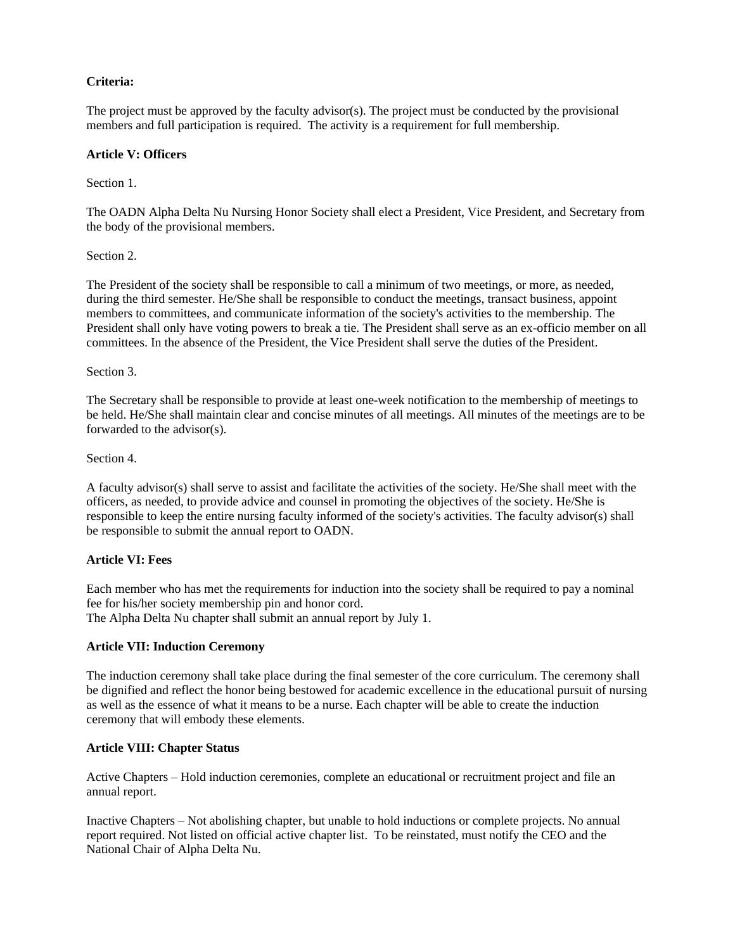# **Criteria:**

The project must be approved by the faculty advisor(s). The project must be conducted by the provisional members and full participation is required. The activity is a requirement for full membership.

### **Article V: Officers**

Section 1.

The OADN Alpha Delta Nu Nursing Honor Society shall elect a President, Vice President, and Secretary from the body of the provisional members.

Section 2.

The President of the society shall be responsible to call a minimum of two meetings, or more, as needed, during the third semester. He/She shall be responsible to conduct the meetings, transact business, appoint members to committees, and communicate information of the society's activities to the membership. The President shall only have voting powers to break a tie. The President shall serve as an ex-officio member on all committees. In the absence of the President, the Vice President shall serve the duties of the President.

Section 3.

The Secretary shall be responsible to provide at least one-week notification to the membership of meetings to be held. He/She shall maintain clear and concise minutes of all meetings. All minutes of the meetings are to be forwarded to the advisor(s).

Section 4.

A faculty advisor(s) shall serve to assist and facilitate the activities of the society. He/She shall meet with the officers, as needed, to provide advice and counsel in promoting the objectives of the society. He/She is responsible to keep the entire nursing faculty informed of the society's activities. The faculty advisor(s) shall be responsible to submit the annual report to OADN.

#### **Article VI: Fees**

Each member who has met the requirements for induction into the society shall be required to pay a nominal fee for his/her society membership pin and honor cord. The Alpha Delta Nu chapter shall submit an annual report by July 1.

#### **Article VII: Induction Ceremony**

The induction ceremony shall take place during the final semester of the core curriculum. The ceremony shall be dignified and reflect the honor being bestowed for academic excellence in the educational pursuit of nursing as well as the essence of what it means to be a nurse. Each chapter will be able to create the induction ceremony that will embody these elements.

# **Article VIII: Chapter Status**

Active Chapters – Hold induction ceremonies, complete an educational or recruitment project and file an annual report.

Inactive Chapters – Not abolishing chapter, but unable to hold inductions or complete projects. No annual report required. Not listed on official active chapter list. To be reinstated, must notify the CEO and the National Chair of Alpha Delta Nu.